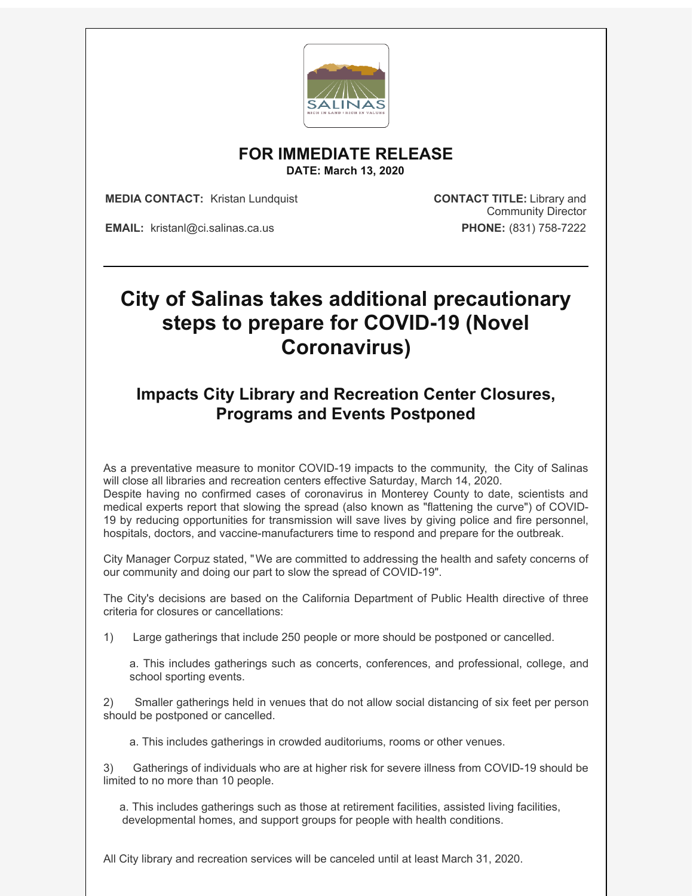

**FOR IMMEDIATE RELEASE**

**DATE: March 13, 2020**

**MEDIA CONTACT:** Kristan Lundquist **CONTACT TITLE:** Library and

Community Director

**EMAIL:** kristanl@ci.salinas.ca.us **PHONE:** (831) 758-7222

## **City of Salinas takes additional precautionary steps to prepare for COVID-19 (Novel Coronavirus)**

## **Impacts City Library and Recreation Center Closures, Programs and Events Postponed**

As a preventative measure to monitor COVID-19 impacts to the community, the City of Salinas will close all libraries and recreation centers effective Saturday, March 14, 2020. Despite having no confirmed cases of coronavirus in Monterey County to date, scientists and medical experts report that slowing the spread (also known as "flattening the curve") of COVID-19 by reducing opportunities for transmission will save lives by giving police and fire personnel, hospitals, doctors, and vaccine-manufacturers time to respond and prepare for the outbreak.

City Manager Corpuz stated, "We are committed to addressing the health and safety concerns of our community and doing our part to slow the spread of COVID-19".

The City's decisions are based on the California Department of Public Health directive of three criteria for closures or cancellations:

1) Large gatherings that include 250 people or more should be postponed or cancelled.

a. This includes gatherings such as concerts, conferences, and professional, college, and school sporting events.

2) Smaller gatherings held in venues that do not allow social distancing of six feet per person should be postponed or cancelled.

a. This includes gatherings in crowded auditoriums, rooms or other venues.

3) Gatherings of individuals who are at higher risk for severe illness from COVID-19 should be limited to no more than 10 people.

a. This includes gatherings such as those at retirement facilities, assisted living facilities, developmental homes, and support groups for people with health conditions.

All City library and recreation services will be canceled until at least March 31, 2020.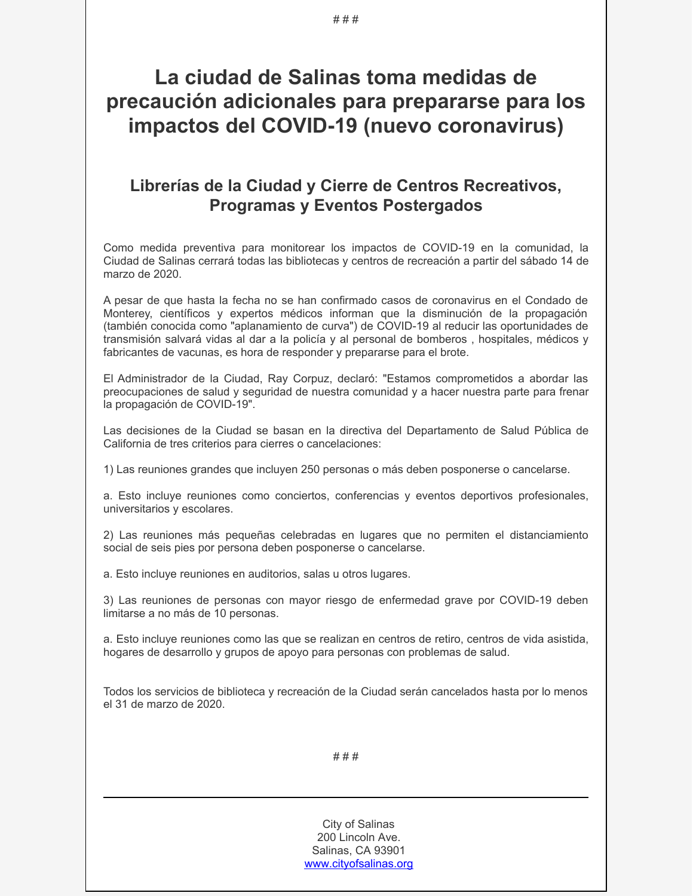## **La ciudad de Salinas toma medidas de precaución adicionales para prepararse para los impactos del COVID-19 (nuevo coronavirus)**

## **Librerías de la Ciudad y Cierre de Centros Recreativos, Programas y Eventos Postergados**

Como medida preventiva para monitorear los impactos de COVID-19 en la comunidad, la Ciudad de Salinas cerrará todas las bibliotecas y centros de recreación a partir del sábado 14 de marzo de 2020.

A pesar de que hasta la fecha no se han confirmado casos de coronavirus en el Condado de Monterey, científicos y expertos médicos informan que la disminución de la propagación (también conocida como "aplanamiento de curva") de COVID-19 al reducir las oportunidades de transmisión salvará vidas al dar a la policía y al personal de bomberos , hospitales, médicos y fabricantes de vacunas, es hora de responder y prepararse para el brote.

El Administrador de la Ciudad, Ray Corpuz, declaró: "Estamos comprometidos a abordar las preocupaciones de salud y seguridad de nuestra comunidad y a hacer nuestra parte para frenar la propagación de COVID-19".

Las decisiones de la Ciudad se basan en la directiva del Departamento de Salud Pública de California de tres criterios para cierres o cancelaciones:

1) Las reuniones grandes que incluyen 250 personas o más deben posponerse o cancelarse.

a. Esto incluye reuniones como conciertos, conferencias y eventos deportivos profesionales, universitarios y escolares.

2) Las reuniones más pequeñas celebradas en lugares que no permiten el distanciamiento social de seis pies por persona deben posponerse o cancelarse.

a. Esto incluye reuniones en auditorios, salas u otros lugares.

3) Las reuniones de personas con mayor riesgo de enfermedad grave por COVID-19 deben limitarse a no más de 10 personas.

a. Esto incluye reuniones como las que se realizan en centros de retiro, centros de vida asistida, hogares de desarrollo y grupos de apoyo para personas con problemas de salud.

Todos los servicios de biblioteca y recreación de la Ciudad serán cancelados hasta por lo menos el 31 de marzo de 2020.

# # #

City of Salinas 200 Lincoln Ave. Salinas, CA 93901 [www.cityofsalinas.org](http://www.cityofsalinas.org/)